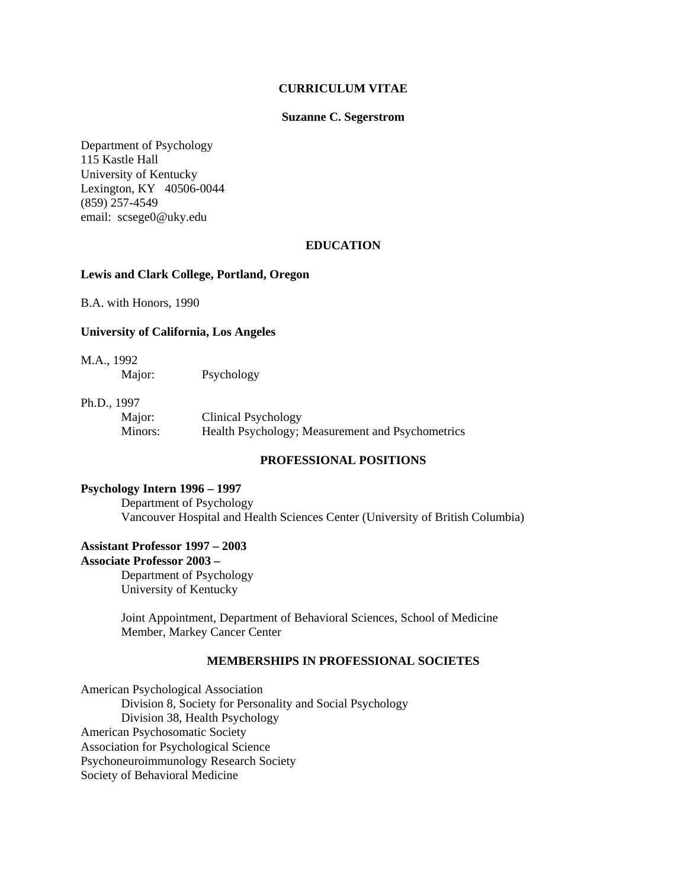## **CURRICULUM VITAE**

## **Suzanne C. Segerstrom**

Department of Psychology 115 Kastle Hall University of Kentucky Lexington, KY 40506-0044 (859) 257-4549 email: scsege0@uky.edu

## **EDUCATION**

### **Lewis and Clark College, Portland, Oregon**

B.A. with Honors, 1990

### **University of California, Los Angeles**

M.A., 1992

Major: Psychology

### Ph.D., 1997

Major: Clinical Psychology Minors: Health Psychology; Measurement and Psychometrics

## **PROFESSIONAL POSITIONS**

## **Psychology Intern 1996 – 1997**

 Department of Psychology Vancouver Hospital and Health Sciences Center (University of British Columbia)

## **Assistant Professor 1997 – 2003 Associate Professor 2003 –**

 Department of Psychology University of Kentucky

 Joint Appointment, Department of Behavioral Sciences, School of Medicine Member, Markey Cancer Center

## **MEMBERSHIPS IN PROFESSIONAL SOCIETES**

American Psychological Association Division 8, Society for Personality and Social Psychology Division 38, Health Psychology American Psychosomatic Society Association for Psychological Science Psychoneuroimmunology Research Society Society of Behavioral Medicine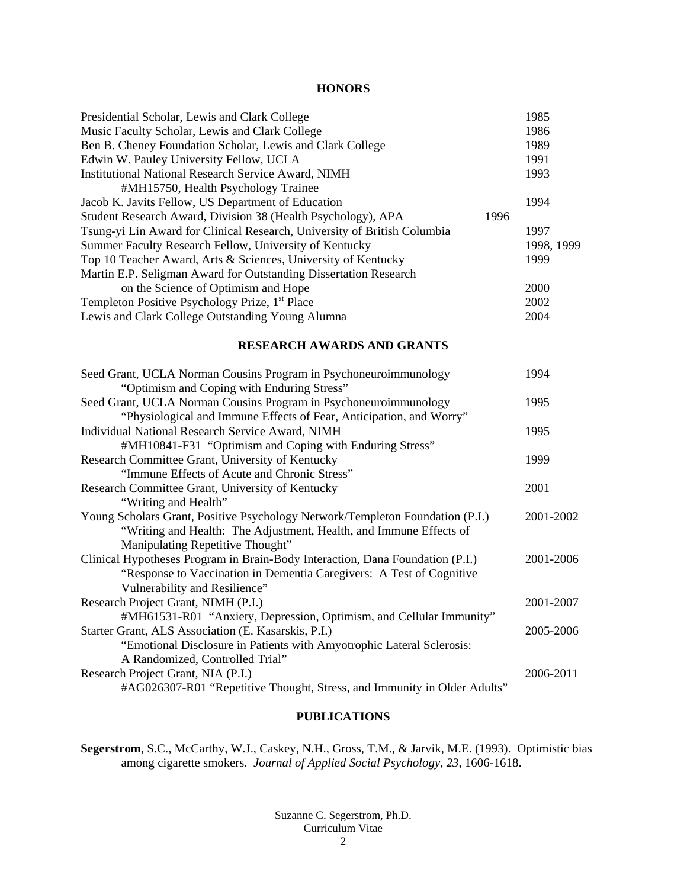# **HONORS**

| Presidential Scholar, Lewis and Clark College                            | 1985       |
|--------------------------------------------------------------------------|------------|
| Music Faculty Scholar, Lewis and Clark College                           | 1986       |
| Ben B. Cheney Foundation Scholar, Lewis and Clark College                | 1989       |
| Edwin W. Pauley University Fellow, UCLA                                  | 1991       |
| <b>Institutional National Research Service Award, NIMH</b>               | 1993       |
| #MH15750, Health Psychology Trainee                                      |            |
| Jacob K. Javits Fellow, US Department of Education                       | 1994       |
| Student Research Award, Division 38 (Health Psychology), APA<br>1996     |            |
| Tsung-yi Lin Award for Clinical Research, University of British Columbia | 1997       |
| Summer Faculty Research Fellow, University of Kentucky                   | 1998, 1999 |
| Top 10 Teacher Award, Arts & Sciences, University of Kentucky            | 1999       |
| Martin E.P. Seligman Award for Outstanding Dissertation Research         |            |
| on the Science of Optimism and Hope                                      | 2000       |
| Templeton Positive Psychology Prize, 1 <sup>st</sup> Place               | 2002       |
| Lewis and Clark College Outstanding Young Alumna                         | 2004       |
|                                                                          |            |

# **RESEARCH AWARDS AND GRANTS**

| Seed Grant, UCLA Norman Cousins Program in Psychoneuroimmunology              | 1994      |
|-------------------------------------------------------------------------------|-----------|
| "Optimism and Coping with Enduring Stress"                                    |           |
| Seed Grant, UCLA Norman Cousins Program in Psychoneuroimmunology              | 1995      |
| "Physiological and Immune Effects of Fear, Anticipation, and Worry"           |           |
| Individual National Research Service Award, NIMH                              | 1995      |
| #MH10841-F31 "Optimism and Coping with Enduring Stress"                       |           |
| Research Committee Grant, University of Kentucky                              | 1999      |
| "Immune Effects of Acute and Chronic Stress"                                  |           |
| Research Committee Grant, University of Kentucky                              | 2001      |
| "Writing and Health"                                                          |           |
| Young Scholars Grant, Positive Psychology Network/Templeton Foundation (P.I.) | 2001-2002 |
| "Writing and Health: The Adjustment, Health, and Immune Effects of            |           |
| Manipulating Repetitive Thought"                                              |           |
| Clinical Hypotheses Program in Brain-Body Interaction, Dana Foundation (P.I.) | 2001-2006 |
| "Response to Vaccination in Dementia Caregivers: A Test of Cognitive          |           |
| Vulnerability and Resilience"                                                 |           |
| Research Project Grant, NIMH (P.I.)                                           | 2001-2007 |
| #MH61531-R01 "Anxiety, Depression, Optimism, and Cellular Immunity"           |           |
| Starter Grant, ALS Association (E. Kasarskis, P.I.)                           | 2005-2006 |
| "Emotional Disclosure in Patients with Amyotrophic Lateral Sclerosis:         |           |
| A Randomized, Controlled Trial"                                               |           |
| Research Project Grant, NIA (P.I.)                                            | 2006-2011 |
| #AG026307-R01 "Repetitive Thought, Stress, and Immunity in Older Adults"      |           |

# **PUBLICATIONS**

**Segerstrom**, S.C., McCarthy, W.J., Caskey, N.H., Gross, T.M., & Jarvik, M.E. (1993). Optimistic bias among cigarette smokers. *Journal of Applied Social Psychology, 23*, 1606-1618.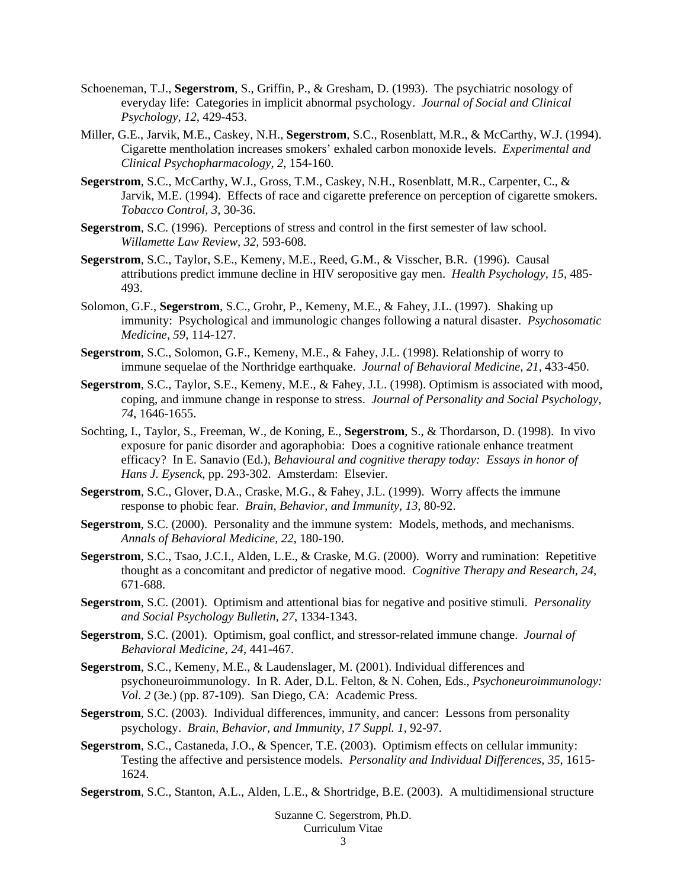- Schoeneman, T.J., **Segerstrom**, S., Griffin, P., & Gresham, D. (1993). The psychiatric nosology of everyday life: Categories in implicit abnormal psychology. *Journal of Social and Clinical Psychology, 12*, 429-453.
- Miller, G.E., Jarvik, M.E., Caskey, N.H., **Segerstrom**, S.C., Rosenblatt, M.R., & McCarthy, W.J. (1994). Cigarette mentholation increases smokers' exhaled carbon monoxide levels. *Experimental and Clinical Psychopharmacology, 2*, 154-160.
- **Segerstrom**, S.C., McCarthy, W.J., Gross, T.M., Caskey, N.H., Rosenblatt, M.R., Carpenter, C., & Jarvik, M.E. (1994). Effects of race and cigarette preference on perception of cigarette smokers. *Tobacco Control, 3*, 30-36.
- **Segerstrom**, S.C. (1996). Perceptions of stress and control in the first semester of law school. *Willamette Law Review, 32*, 593-608.
- **Segerstrom**, S.C., Taylor, S.E., Kemeny, M.E., Reed, G.M., & Visscher, B.R. (1996). Causal attributions predict immune decline in HIV seropositive gay men. *Health Psychology, 15*, 485- 493.
- Solomon, G.F., **Segerstrom**, S.C., Grohr, P., Kemeny, M.E., & Fahey, J.L. (1997). Shaking up immunity: Psychological and immunologic changes following a natural disaster. *Psychosomatic Medicine, 59*, 114-127.
- **Segerstrom**, S.C., Solomon, G.F., Kemeny, M.E., & Fahey, J.L. (1998). Relationship of worry to immune sequelae of the Northridge earthquake. *Journal of Behavioral Medicine, 21*, 433-450.
- **Segerstrom**, S.C., Taylor, S.E., Kemeny, M.E., & Fahey, J.L. (1998). Optimism is associated with mood, coping, and immune change in response to stress. *Journal of Personality and Social Psychology, 74*, 1646-1655.
- Sochting, I., Taylor, S., Freeman, W., de Koning, E., **Segerstrom**, S., & Thordarson, D. (1998). In vivo exposure for panic disorder and agoraphobia: Does a cognitive rationale enhance treatment efficacy? In E. Sanavio (Ed.), *Behavioural and cognitive therapy today: Essays in honor of Hans J. Eysenck*, pp. 293-302. Amsterdam: Elsevier.
- **Segerstrom**, S.C., Glover, D.A., Craske, M.G., & Fahey, J.L. (1999). Worry affects the immune response to phobic fear. *Brain, Behavior, and Immunity, 13*, 80-92.
- **Segerstrom**, S.C. (2000). Personality and the immune system: Models, methods, and mechanisms. *Annals of Behavioral Medicine, 22*, 180-190.
- **Segerstrom**, S.C., Tsao, J.C.I., Alden, L.E., & Craske, M.G. (2000). Worry and rumination: Repetitive thought as a concomitant and predictor of negative mood. *Cognitive Therapy and Research, 24*, 671-688.
- **Segerstrom**, S.C. (2001). Optimism and attentional bias for negative and positive stimuli. *Personality and Social Psychology Bulletin, 27*, 1334-1343.
- **Segerstrom**, S.C. (2001). Optimism, goal conflict, and stressor-related immune change. *Journal of Behavioral Medicine, 24*, 441-467.
- **Segerstrom**, S.C., Kemeny, M.E., & Laudenslager, M. (2001). Individual differences and psychoneuroimmunology. In R. Ader, D.L. Felton, & N. Cohen, Eds., *Psychoneuroimmunology: Vol. 2* (3e.) (pp. 87-109). San Diego, CA: Academic Press.
- **Segerstrom**, S.C. (2003). Individual differences, immunity, and cancer: Lessons from personality psychology. *Brain, Behavior, and Immunity, 17 Suppl. 1*, 92-97.
- **Segerstrom**, S.C., Castaneda, J.O., & Spencer, T.E. (2003). Optimism effects on cellular immunity: Testing the affective and persistence models. *Personality and Individual Differences, 35*, 1615- 1624.
- **Segerstrom**, S.C., Stanton, A.L., Alden, L.E., & Shortridge, B.E. (2003). A multidimensional structure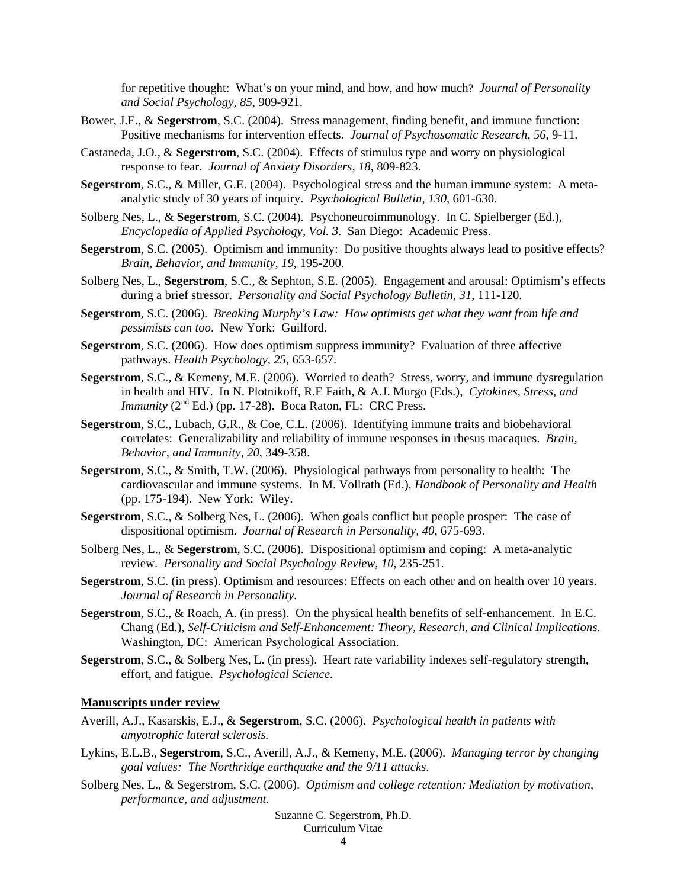for repetitive thought: What's on your mind, and how, and how much? *Journal of Personality and Social Psychology, 85*, 909-921.

- Bower, J.E., & **Segerstrom**, S.C. (2004). Stress management, finding benefit, and immune function: Positive mechanisms for intervention effects. *Journal of Psychosomatic Research, 56*, 9-11.
- Castaneda, J.O., & **Segerstrom**, S.C. (2004). Effects of stimulus type and worry on physiological response to fear. *Journal of Anxiety Disorders, 18*, 809-823.
- **Segerstrom**, S.C., & Miller, G.E. (2004). Psychological stress and the human immune system: A metaanalytic study of 30 years of inquiry. *Psychological Bulletin, 130*, 601-630.
- Solberg Nes, L., & **Segerstrom**, S.C. (2004). Psychoneuroimmunology. In C. Spielberger (Ed.), *Encyclopedia of Applied Psychology, Vol. 3*. San Diego: Academic Press.
- **Segerstrom**, S.C. (2005). Optimism and immunity: Do positive thoughts always lead to positive effects? *Brain, Behavior, and Immunity, 19*, 195-200.
- Solberg Nes, L., **Segerstrom**, S.C., & Sephton, S.E. (2005). Engagement and arousal: Optimism's effects during a brief stressor. *Personality and Social Psychology Bulletin, 31*, 111-120.
- **Segerstrom**, S.C. (2006). *Breaking Murphy's Law: How optimists get what they want from life and pessimists can too*. New York: Guilford.
- **Segerstrom**, S.C. (2006). How does optimism suppress immunity? Evaluation of three affective pathways. *Health Psychology, 25*, 653-657.
- **Segerstrom**, S.C., & Kemeny, M.E. (2006). Worried to death? Stress, worry, and immune dysregulation in health and HIV. In N. Plotnikoff, R.E Faith, & A.J. Murgo (Eds.), *Cytokines, Stress, and Immunity* ( $2<sup>nd</sup> Ed$ .) (pp. 17-28). Boca Raton, FL: CRC Press.
- **Segerstrom**, S.C., Lubach, G.R., & Coe, C.L. (2006). Identifying immune traits and biobehavioral correlates: Generalizability and reliability of immune responses in rhesus macaques. *Brain, Behavior, and Immunity, 20*, 349-358.
- **Segerstrom**, S.C., & Smith, T.W. (2006). Physiological pathways from personality to health: The cardiovascular and immune systems*.* In M. Vollrath (Ed.), *Handbook of Personality and Health* (pp. 175-194). New York: Wiley.
- **Segerstrom**, S.C., & Solberg Nes, L. (2006). When goals conflict but people prosper: The case of dispositional optimism. *Journal of Research in Personality, 40*, 675-693.
- Solberg Nes, L., & **Segerstrom**, S.C. (2006). Dispositional optimism and coping: A meta-analytic review. *Personality and Social Psychology Review, 10*, 235-251.
- **Segerstrom**, S.C. (in press). Optimism and resources: Effects on each other and on health over 10 years. *Journal of Research in Personality*.
- **Segerstrom**, S.C., & Roach, A. (in press). On the physical health benefits of self-enhancement. In E.C. Chang (Ed.), *Self-Criticism and Self-Enhancement: Theory, Research, and Clinical Implications.* Washington, DC: American Psychological Association.
- **Segerstrom**, S.C., & Solberg Nes, L. (in press). Heart rate variability indexes self-regulatory strength, effort, and fatigue. *Psychological Science*.

# **Manuscripts under review**

- Averill, A.J., Kasarskis, E.J., & **Segerstrom**, S.C. (2006). *Psychological health in patients with amyotrophic lateral sclerosis.*
- Lykins, E.L.B., **Segerstrom**, S.C., Averill, A.J., & Kemeny, M.E. (2006). *Managing terror by changing goal values: The Northridge earthquake and the 9/11 attacks*.
- Solberg Nes, L., & Segerstrom, S.C. (2006). *Optimism and college retention: Mediation by motivation, performance, and adjustment*.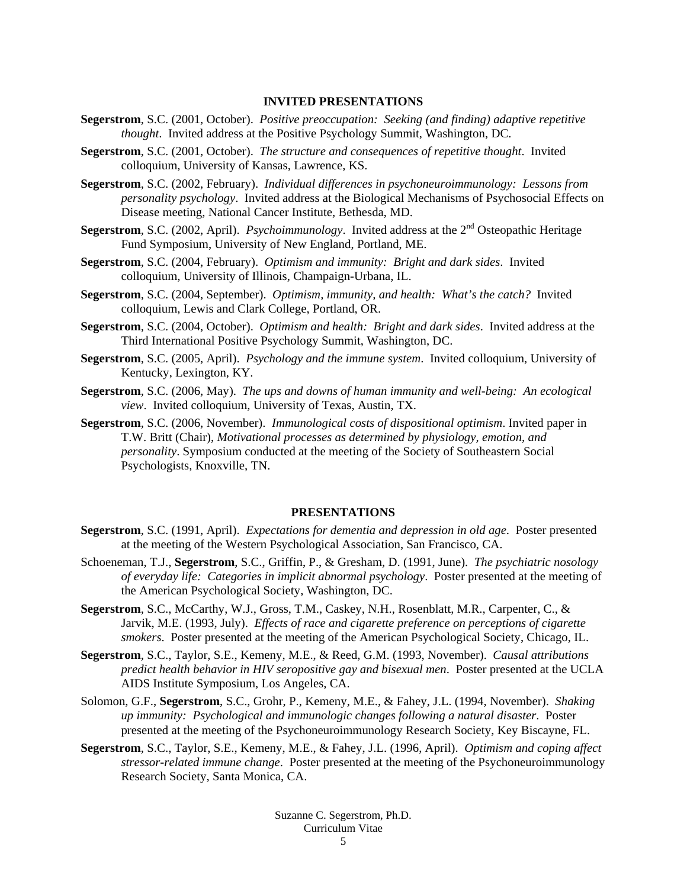### **INVITED PRESENTATIONS**

- **Segerstrom**, S.C. (2001, October). *Positive preoccupation: Seeking (and finding) adaptive repetitive thought*. Invited address at the Positive Psychology Summit, Washington, DC.
- **Segerstrom**, S.C. (2001, October). *The structure and consequences of repetitive thought*. Invited colloquium, University of Kansas, Lawrence, KS.
- **Segerstrom**, S.C. (2002, February). *Individual differences in psychoneuroimmunology: Lessons from personality psychology*. Invited address at the Biological Mechanisms of Psychosocial Effects on Disease meeting, National Cancer Institute, Bethesda, MD.
- **Segerstrom, S.C.** (2002, April). *Psychoimmunology*. Invited address at the 2<sup>nd</sup> Osteopathic Heritage Fund Symposium, University of New England, Portland, ME.
- **Segerstrom**, S.C. (2004, February). *Optimism and immunity: Bright and dark sides*. Invited colloquium, University of Illinois, Champaign-Urbana, IL.
- **Segerstrom**, S.C. (2004, September). *Optimism, immunity, and health: What's the catch?* Invited colloquium, Lewis and Clark College, Portland, OR.
- **Segerstrom**, S.C. (2004, October). *Optimism and health: Bright and dark sides*. Invited address at the Third International Positive Psychology Summit, Washington, DC.
- **Segerstrom**, S.C. (2005, April). *Psychology and the immune system*. Invited colloquium, University of Kentucky, Lexington, KY.
- **Segerstrom**, S.C. (2006, May). *The ups and downs of human immunity and well-being: An ecological view*. Invited colloquium, University of Texas, Austin, TX.
- **Segerstrom**, S.C. (2006, November). *Immunological costs of dispositional optimism*. Invited paper in T.W. Britt (Chair), *Motivational processes as determined by physiology, emotion, and personality*. Symposium conducted at the meeting of the Society of Southeastern Social Psychologists, Knoxville, TN.

### **PRESENTATIONS**

- **Segerstrom**, S.C. (1991, April). *Expectations for dementia and depression in old age*. Poster presented at the meeting of the Western Psychological Association, San Francisco, CA.
- Schoeneman, T.J., **Segerstrom**, S.C., Griffin, P., & Gresham, D. (1991, June). *The psychiatric nosology of everyday life: Categories in implicit abnormal psychology*. Poster presented at the meeting of the American Psychological Society, Washington, DC.
- **Segerstrom**, S.C., McCarthy, W.J., Gross, T.M., Caskey, N.H., Rosenblatt, M.R., Carpenter, C., & Jarvik, M.E. (1993, July). *Effects of race and cigarette preference on perceptions of cigarette smokers*. Poster presented at the meeting of the American Psychological Society, Chicago, IL.
- **Segerstrom**, S.C., Taylor, S.E., Kemeny, M.E., & Reed, G.M. (1993, November). *Causal attributions predict health behavior in HIV seropositive gay and bisexual men*. Poster presented at the UCLA AIDS Institute Symposium, Los Angeles, CA.
- Solomon, G.F., **Segerstrom**, S.C., Grohr, P., Kemeny, M.E., & Fahey, J.L. (1994, November). *Shaking up immunity: Psychological and immunologic changes following a natural disaster*. Poster presented at the meeting of the Psychoneuroimmunology Research Society, Key Biscayne, FL.
- **Segerstrom**, S.C., Taylor, S.E., Kemeny, M.E., & Fahey, J.L. (1996, April). *Optimism and coping affect stressor-related immune change*. Poster presented at the meeting of the Psychoneuroimmunology Research Society, Santa Monica, CA.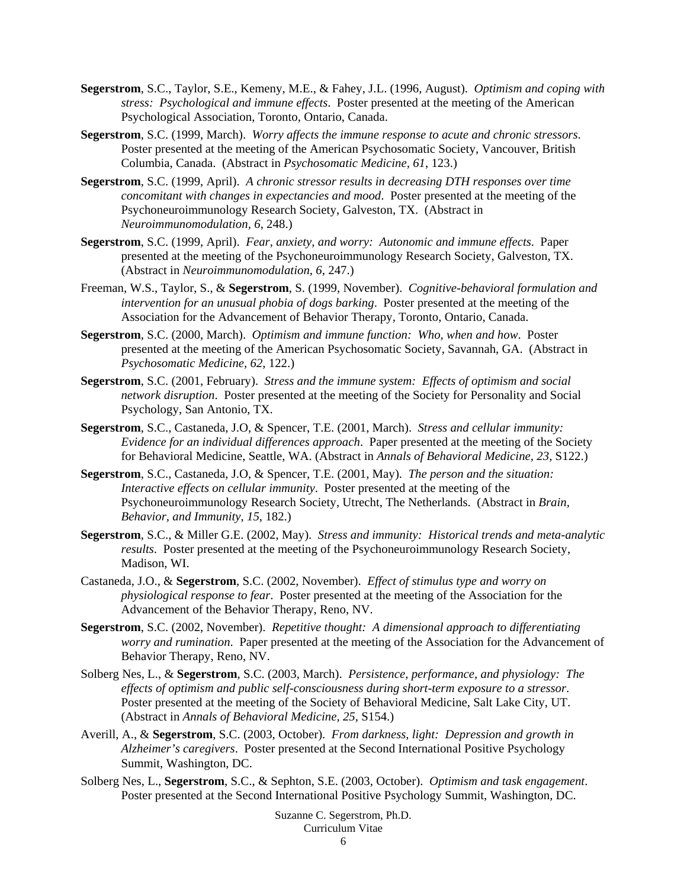- **Segerstrom**, S.C., Taylor, S.E., Kemeny, M.E., & Fahey, J.L. (1996, August). *Optimism and coping with stress: Psychological and immune effects*. Poster presented at the meeting of the American Psychological Association, Toronto, Ontario, Canada.
- **Segerstrom**, S.C. (1999, March). *Worry affects the immune response to acute and chronic stressors*. Poster presented at the meeting of the American Psychosomatic Society, Vancouver, British Columbia, Canada. (Abstract in *Psychosomatic Medicine, 61*, 123.)
- **Segerstrom**, S.C. (1999, April). *A chronic stressor results in decreasing DTH responses over time concomitant with changes in expectancies and mood*. Poster presented at the meeting of the Psychoneuroimmunology Research Society, Galveston, TX. (Abstract in *Neuroimmunomodulation, 6*, 248.)
- **Segerstrom**, S.C. (1999, April). *Fear, anxiety, and worry: Autonomic and immune effects*. Paper presented at the meeting of the Psychoneuroimmunology Research Society, Galveston, TX. (Abstract in *Neuroimmunomodulation, 6*, 247.)
- Freeman, W.S., Taylor, S., & **Segerstrom**, S. (1999, November). *Cognitive-behavioral formulation and intervention for an unusual phobia of dogs barking*. Poster presented at the meeting of the Association for the Advancement of Behavior Therapy, Toronto, Ontario, Canada.
- **Segerstrom**, S.C. (2000, March). *Optimism and immune function: Who, when and how*. Poster presented at the meeting of the American Psychosomatic Society, Savannah, GA. (Abstract in *Psychosomatic Medicine, 62*, 122.)
- **Segerstrom**, S.C. (2001, February). *Stress and the immune system: Effects of optimism and social network disruption*. Poster presented at the meeting of the Society for Personality and Social Psychology, San Antonio, TX.
- **Segerstrom**, S.C., Castaneda, J.O, & Spencer, T.E. (2001, March). *Stress and cellular immunity: Evidence for an individual differences approach*. Paper presented at the meeting of the Society for Behavioral Medicine, Seattle, WA. (Abstract in *Annals of Behavioral Medicine, 23*, S122.)
- **Segerstrom**, S.C., Castaneda, J.O, & Spencer, T.E. (2001, May). *The person and the situation: Interactive effects on cellular immunity*. Poster presented at the meeting of the Psychoneuroimmunology Research Society, Utrecht, The Netherlands. (Abstract in *Brain, Behavior, and Immunity, 15*, 182.)
- **Segerstrom**, S.C., & Miller G.E. (2002, May). *Stress and immunity: Historical trends and meta-analytic results*. Poster presented at the meeting of the Psychoneuroimmunology Research Society, Madison, WI.
- Castaneda, J.O., & **Segerstrom**, S.C. (2002, November). *Effect of stimulus type and worry on physiological response to fear*. Poster presented at the meeting of the Association for the Advancement of the Behavior Therapy, Reno, NV.
- **Segerstrom**, S.C. (2002, November). *Repetitive thought: A dimensional approach to differentiating worry and rumination*. Paper presented at the meeting of the Association for the Advancement of Behavior Therapy, Reno, NV.
- Solberg Nes, L., & **Segerstrom**, S.C. (2003, March). *Persistence, performance, and physiology: The effects of optimism and public self-consciousness during short-term exposure to a stressor*. Poster presented at the meeting of the Society of Behavioral Medicine, Salt Lake City, UT. (Abstract in *Annals of Behavioral Medicine, 25*, S154.)
- Averill, A., & **Segerstrom**, S.C. (2003, October). *From darkness, light: Depression and growth in Alzheimer's caregivers*. Poster presented at the Second International Positive Psychology Summit, Washington, DC.
- Solberg Nes, L., **Segerstrom**, S.C., & Sephton, S.E. (2003, October). *Optimism and task engagement*. Poster presented at the Second International Positive Psychology Summit, Washington, DC.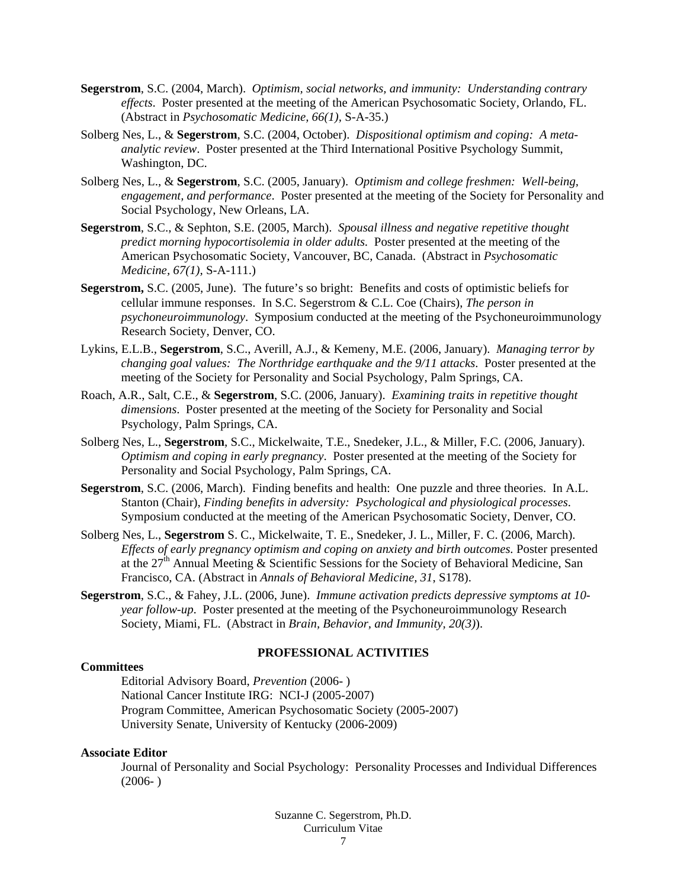- **Segerstrom**, S.C. (2004, March). *Optimism, social networks, and immunity: Understanding contrary effects*. Poster presented at the meeting of the American Psychosomatic Society, Orlando, FL. (Abstract in *Psychosomatic Medicine, 66(1),* S-A-35.)
- Solberg Nes, L., & **Segerstrom**, S.C. (2004, October). *Dispositional optimism and coping: A metaanalytic review*. Poster presented at the Third International Positive Psychology Summit, Washington, DC.
- Solberg Nes, L., & **Segerstrom**, S.C. (2005, January). *Optimism and college freshmen: Well-being, engagement, and performance*. Poster presented at the meeting of the Society for Personality and Social Psychology, New Orleans, LA.
- **Segerstrom**, S.C., & Sephton, S.E. (2005, March). *Spousal illness and negative repetitive thought predict morning hypocortisolemia in older adults.* Poster presented at the meeting of the American Psychosomatic Society, Vancouver, BC, Canada. (Abstract in *Psychosomatic Medicine, 67(1),* S-A-111.)
- **Segerstrom,** S.C. (2005, June). The future's so bright: Benefits and costs of optimistic beliefs for cellular immune responses. In S.C. Segerstrom & C.L. Coe (Chairs), *The person in psychoneuroimmunology*. Symposium conducted at the meeting of the Psychoneuroimmunology Research Society, Denver, CO.
- Lykins, E.L.B., **Segerstrom**, S.C., Averill, A.J., & Kemeny, M.E. (2006, January). *Managing terror by changing goal values: The Northridge earthquake and the 9/11 attacks*. Poster presented at the meeting of the Society for Personality and Social Psychology, Palm Springs, CA.
- Roach, A.R., Salt, C.E., & **Segerstrom**, S.C. (2006, January). *Examining traits in repetitive thought dimensions*. Poster presented at the meeting of the Society for Personality and Social Psychology, Palm Springs, CA.
- Solberg Nes, L., **Segerstrom**, S.C., Mickelwaite, T.E., Snedeker, J.L., & Miller, F.C. (2006, January). *Optimism and coping in early pregnancy*. Poster presented at the meeting of the Society for Personality and Social Psychology, Palm Springs, CA.
- **Segerstrom**, S.C. (2006, March). Finding benefits and health: One puzzle and three theories. In A.L. Stanton (Chair), *Finding benefits in adversity: Psychological and physiological processes*. Symposium conducted at the meeting of the American Psychosomatic Society, Denver, CO.
- Solberg Nes, L., **Segerstrom** S. C., Mickelwaite, T. E., Snedeker, J. L., Miller, F. C. (2006, March). *Effects of early pregnancy optimism and coping on anxiety and birth outcomes.* Poster presented at the  $27<sup>th</sup>$  Annual Meeting & Scientific Sessions for the Society of Behavioral Medicine, San Francisco, CA. (Abstract in *Annals of Behavioral Medicine, 31*, S178).
- **Segerstrom**, S.C., & Fahey, J.L. (2006, June). *Immune activation predicts depressive symptoms at 10 year follow-up*. Poster presented at the meeting of the Psychoneuroimmunology Research Society, Miami, FL. (Abstract in *Brain, Behavior, and Immunity, 20(3)*).

#### **Committees**

## **PROFESSIONAL ACTIVITIES**

Editorial Advisory Board, *Prevention* (2006- ) National Cancer Institute IRG: NCI-J (2005-2007) Program Committee, American Psychosomatic Society (2005-2007) University Senate, University of Kentucky (2006-2009)

## **Associate Editor**

Journal of Personality and Social Psychology: Personality Processes and Individual Differences  $(2006- )$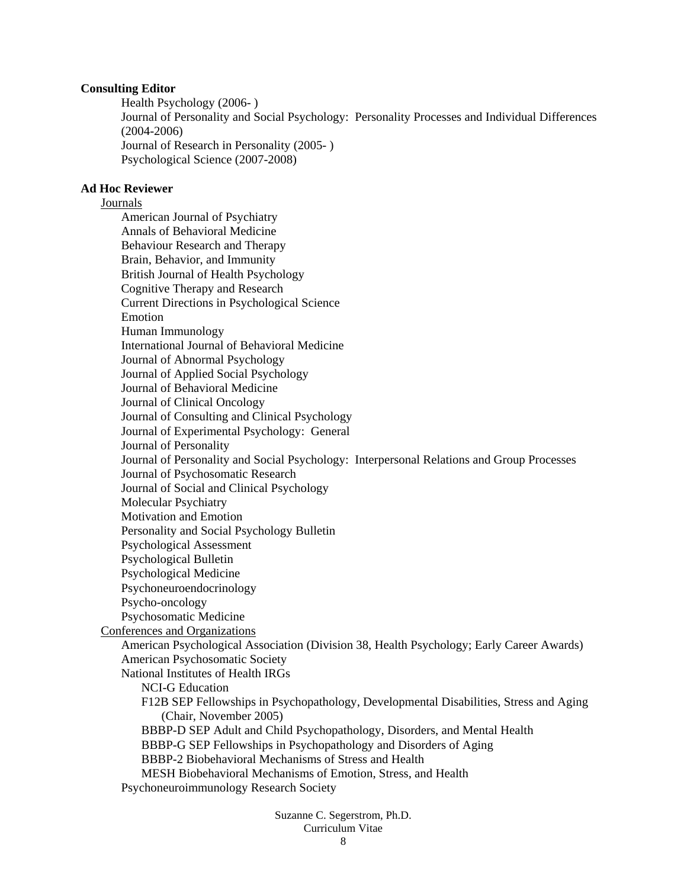## **Consulting Editor**

Health Psychology (2006- ) Journal of Personality and Social Psychology: Personality Processes and Individual Differences (2004-2006) Journal of Research in Personality (2005- ) Psychological Science (2007-2008)

## **Ad Hoc Reviewer**

# Journals

American Journal of Psychiatry Annals of Behavioral Medicine Behaviour Research and Therapy Brain, Behavior, and Immunity British Journal of Health Psychology Cognitive Therapy and Research Current Directions in Psychological Science Emotion Human Immunology International Journal of Behavioral Medicine Journal of Abnormal Psychology Journal of Applied Social Psychology Journal of Behavioral Medicine Journal of Clinical Oncology Journal of Consulting and Clinical Psychology Journal of Experimental Psychology: General Journal of Personality Journal of Personality and Social Psychology: Interpersonal Relations and Group Processes Journal of Psychosomatic Research Journal of Social and Clinical Psychology Molecular Psychiatry Motivation and Emotion Personality and Social Psychology Bulletin Psychological Assessment Psychological Bulletin Psychological Medicine Psychoneuroendocrinology Psycho-oncology Psychosomatic Medicine Conferences and Organizations American Psychological Association (Division 38, Health Psychology; Early Career Awards) American Psychosomatic Society National Institutes of Health IRGs NCI-G Education F12B SEP Fellowships in Psychopathology, Developmental Disabilities, Stress and Aging (Chair, November 2005) BBBP-D SEP Adult and Child Psychopathology, Disorders, and Mental Health BBBP-G SEP Fellowships in Psychopathology and Disorders of Aging BBBP-2 Biobehavioral Mechanisms of Stress and Health MESH Biobehavioral Mechanisms of Emotion, Stress, and Health Psychoneuroimmunology Research Society